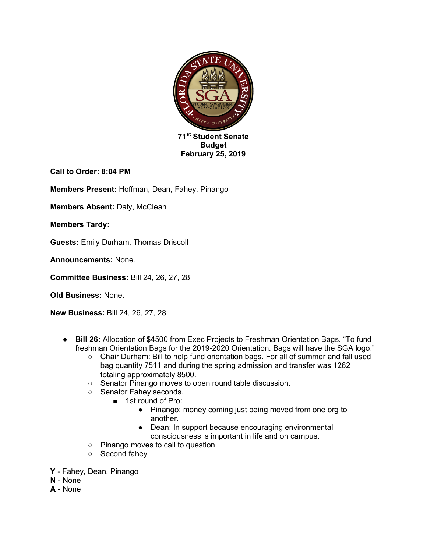

**Call to Order: 8:04 PM**

**Members Present:** Hoffman, Dean, Fahey, Pinango

**Members Absent:** Daly, McClean

**Members Tardy:** 

**Guests:** Emily Durham, Thomas Driscoll

**Announcements:** None.

**Committee Business:** Bill 24, 26, 27, 28

**Old Business:** None.

**New Business:** Bill 24, 26, 27, 28

- **Bill 26:** Allocation of \$4500 from Exec Projects to Freshman Orientation Bags. "To fund freshman Orientation Bags for the 2019-2020 Orientation. Bags will have the SGA logo."
	- Chair Durham: Bill to help fund orientation bags. For all of summer and fall used bag quantity 7511 and during the spring admission and transfer was 1262 totaling approximately 8500.
	- Senator Pinango moves to open round table discussion.
	- Senator Fahey seconds.
		- 1st round of Pro:
			- Pinango: money coming just being moved from one org to another.
			- Dean: In support because encouraging environmental consciousness is important in life and on campus.
	- Pinango moves to call to question
	- Second fahey
- **Y** Fahey, Dean, Pinango
- **N** None
- **A** None